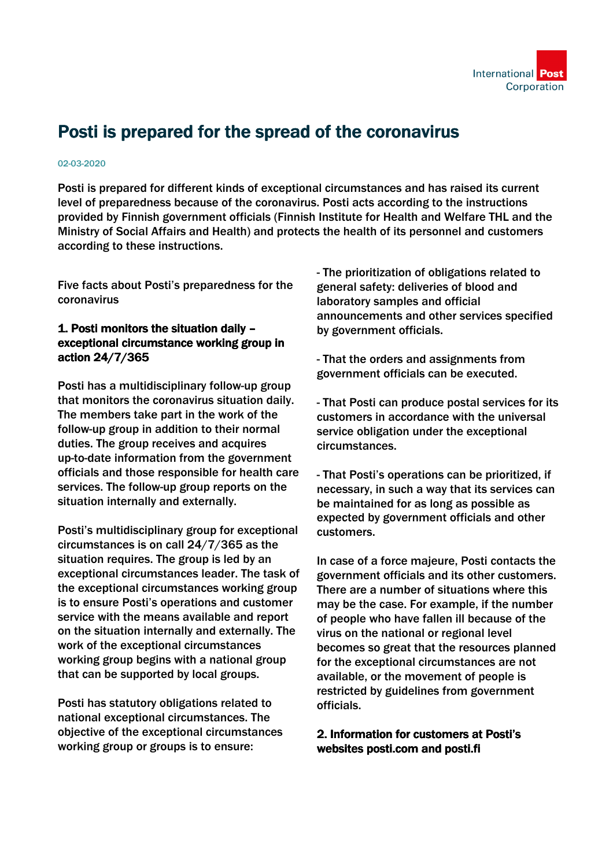

# Posti is prepared for the spread of the coronavirus

#### 02-03-2020

Posti is prepared for different kinds of exceptional circumstances and has raised its current level of preparedness because of the coronavirus. Posti acts according to the instructions provided by Finnish government officials (Finnish Institute for Health and Welfare THL and the Ministry of Social Affairs and Health) and protects the health of its personnel and customers according to these instructions.

Five facts about Posti's preparedness for the coronavirus

#### 1. Posti monitors the situation daily – exceptional circumstance working group in action 24/7/365

Posti has a multidisciplinary follow-up group that monitors the coronavirus situation daily. The members take part in the work of the follow-up group in addition to their normal duties. The group receives and acquires up-to-date information from the government officials and those responsible for health care services. The follow-up group reports on the situation internally and externally.

Posti's multidisciplinary group for exceptional circumstances is on call 24/7/365 as the situation requires. The group is led by an exceptional circumstances leader. The task of the exceptional circumstances working group is to ensure Posti's operations and customer service with the means available and report on the situation internally and externally. The work of the exceptional circumstances working group begins with a national group that can be supported by local groups.

Posti has statutory obligations related to national exceptional circumstances. The objective of the exceptional circumstances working group or groups is to ensure:

- The prioritization of obligations related to general safety: deliveries of blood and laboratory samples and official announcements and other services specified by government officials.

- That the orders and assignments from government officials can be executed.

- That Posti can produce postal services for its customers in accordance with the universal service obligation under the exceptional circumstances.

- That Posti's operations can be prioritized, if necessary, in such a way that its services can be maintained for as long as possible as expected by government officials and other customers.

In case of a force majeure, Posti contacts the government officials and its other customers. There are a number of situations where this may be the case. For example, if the number of people who have fallen ill because of the virus on the national or regional level becomes so great that the resources planned for the exceptional circumstances are not available, or the movement of people is restricted by guidelines from government officials.

### 2. Information for customers at Posti's websites posti.com and posti.fi